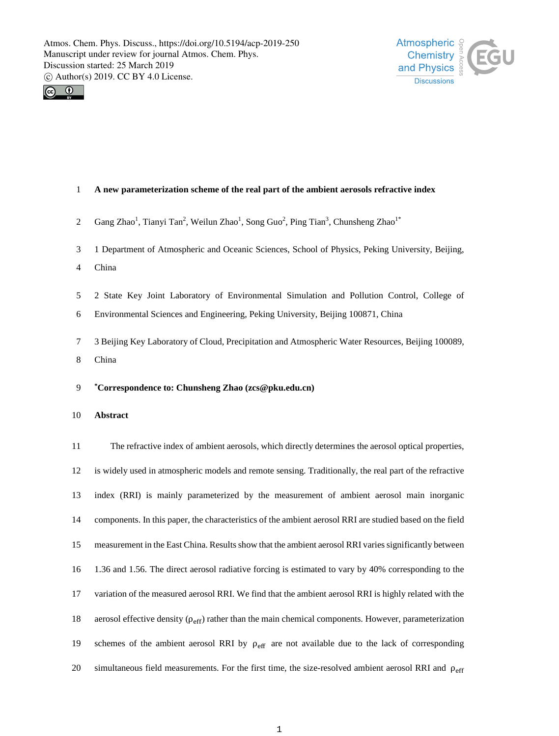



# **A new parameterization scheme of the real part of the ambient aerosols refractive index**

- 2 Gang Zhao<sup>1</sup>, Tianyi Tan<sup>2</sup>, Weilun Zhao<sup>1</sup>, Song Guo<sup>2</sup>, Ping Tian<sup>3</sup>, Chunsheng Zhao<sup>1\*</sup>
- 1 Department of Atmospheric and Oceanic Sciences, School of Physics, Peking University, Beijing,
- China
- 2 State Key Joint Laboratory of Environmental Simulation and Pollution Control, College of
- Environmental Sciences and Engineering, Peking University, Beijing 100871, China
- 3 Beijing Key Laboratory of Cloud, Precipitation and Atmospheric Water Resources, Beijing 100089,
- China
- **\* Correspondence to: Chunsheng Zhao (zcs@pku.edu.cn)**
- **Abstract**

 The refractive index of ambient aerosols, which directly determines the aerosol optical properties, is widely used in atmospheric models and remote sensing. Traditionally, the real part of the refractive index (RRI) is mainly parameterized by the measurement of ambient aerosol main inorganic components. In this paper, the characteristics of the ambient aerosol RRI are studied based on the field measurement in the East China. Results show that the ambient aerosol RRI varies significantly between 1.36 and 1.56. The direct aerosol radiative forcing is estimated to vary by 40% corresponding to the variation of the measured aerosol RRI. We find that the ambient aerosol RRI is highly related with the 18 aerosol effective density ( $\rho_{\text{eff}}$ ) rather than the main chemical components. However, parameterization 19 schemes of the ambient aerosol RRI by  $\rho_{\text{eff}}$  are not available due to the lack of corresponding 20 simultaneous field measurements. For the first time, the size-resolved ambient aerosol RRI and  $\rho_{\text{eff}}$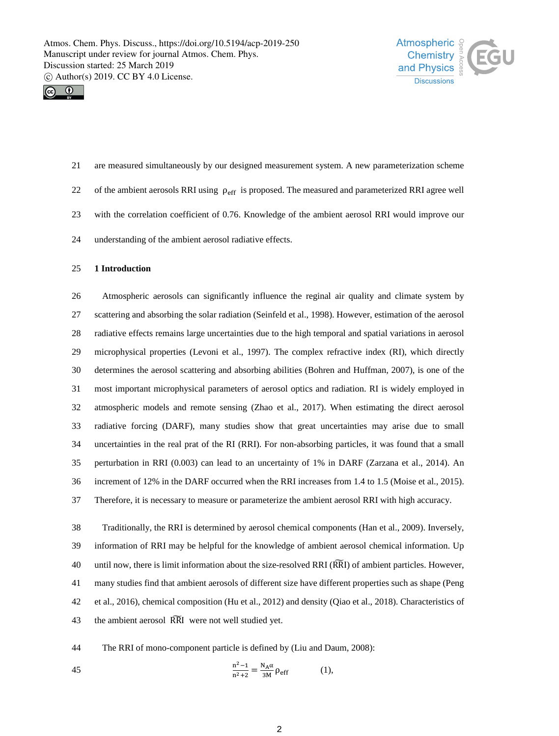



 are measured simultaneously by our designed measurement system. A new parameterization scheme 22 of the ambient aerosols RRI using  $\rho_{\text{eff}}$  is proposed. The measured and parameterized RRI agree well with the correlation coefficient of 0.76. Knowledge of the ambient aerosol RRI would improve our understanding of the ambient aerosol radiative effects.

## **1 Introduction**

 Atmospheric aerosols can significantly influence the reginal air quality and climate system by scattering and absorbing the solar radiation (Seinfeld et al., 1998). However, estimation of the aerosol radiative effects remains large uncertainties due to the high temporal and spatial variations in aerosol microphysical properties (Levoni et al., 1997). The complex refractive index (RI), which directly determines the aerosol scattering and absorbing abilities (Bohren and Huffman, 2007), is one of the most important microphysical parameters of aerosol optics and radiation. RI is widely employed in atmospheric models and remote sensing (Zhao et al., 2017). When estimating the direct aerosol radiative forcing (DARF), many studies show that great uncertainties may arise due to small uncertainties in the real prat of the RI (RRI). For non-absorbing particles, it was found that a small perturbation in RRI (0.003) can lead to an uncertainty of 1% in DARF (Zarzana et al., 2014). An increment of 12% in the DARF occurred when the RRI increases from 1.4 to 1.5 (Moise et al., 2015). Therefore, it is necessary to measure or parameterize the ambient aerosol RRI with high accuracy.

 Traditionally, the RRI is determined by aerosol chemical components (Han et al., 2009). Inversely, information of RRI may be helpful for the knowledge of ambient aerosol chemical information. Up 40 until now, there is limit information about the size-resolved RRI (RRI) of ambient particles. However, many studies find that ambient aerosols of different size have different properties such as shape (Peng et al., 2016), chemical composition (Hu et al., 2012) and density (Qiao et al., 2018). Characteristics of 43 the ambient aerosol RRI were not well studied yet.

The RRI of mono-component particle is defined by (Liu and Daum, 2008):

45 
$$
\frac{n^2 - 1}{n^2 + 2} = \frac{N_A \alpha}{3M} \rho_{eff}
$$
 (1),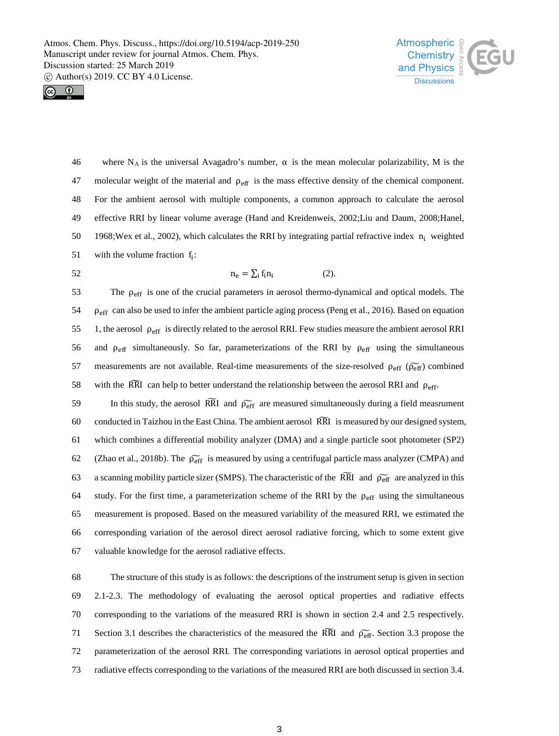



46 where N<sub>A</sub> is the universal Avagadro's number,  $\alpha$  is the mean molecular polarizability, M is the 47 molecular weight of the material and  $\rho_{\text{eff}}$  is the mass effective density of the chemical component. 48 For the ambient aerosol with multiple components, a common approach to calculate the aerosol 49 effective RRI by linear volume average (Hand and Kreidenweis, 2002;Liu and Daum, 2008;Hanel, 50 1968;Wex et al., 2002), which calculates the RRI by integrating partial refractive index  $n_i$  weighted 51 with the volume fraction  $f_i$ :

52  $n_e = \sum_i f_i n_i$  (2).

The  $\rho_{\text{eff}}$  is one of the crucial parameters in aerosol thermo-dynamical and optical models. The 54 ρeff can also be used to infer the ambient particle aging process (Peng et al., 2016). Based on equation 55 1, the aerosol  $\rho_{\text{eff}}$  is directly related to the aerosol RRI. Few studies measure the ambient aerosol RRI 56 and  $\rho_{\text{eff}}$  simultaneously. So far, parameterizations of the RRI by  $\rho_{\text{eff}}$  using the simultaneous 57 measurements are not available. Real-time measurements of the size-resolved  $\rho_{\text{eff}}$  ( $\tilde{\rho}_{\text{eff}}$ ) combined 58 with the RRI can help to better understand the relationship between the aerosol RRI and  $\rho_{\text{eff}}$ .

59 In this study, the aerosol RRI and  $\widetilde{p_{\text{eff}}}$  are measured simultaneously during a field measrument 60 conducted in Taizhou in the East China. The ambient aerosol RRI � is measured by our designed system, 61 which combines a differential mobility analyzer (DMA) and a single particle soot photometer (SP2) 62 (Zhao et al., 2018b). The  $\widetilde{p_{eff}}$  is measured by using a centrifugal particle mass analyzer (CMPA) and 63 a scanning mobility particle sizer (SMPS). The characteristic of the RRI and  $\tilde{\rho}_{eff}$  are analyzed in this 64 study. For the first time, a parameterization scheme of the RRI by the  $\rho_{\text{eff}}$  using the simultaneous 65 measurement is proposed. Based on the measured variability of the measured RRI, we estimated the 66 corresponding variation of the aerosol direct aerosol radiative forcing, which to some extent give 67 valuable knowledge for the aerosol radiative effects.

 The structure of this study is as follows: the descriptions of the instrument setup is given in section 2.1-2.3. The methodology of evaluating the aerosol optical properties and radiative effects corresponding to the variations of the measured RRI is shown in section 2.4 and 2.5 respectively. 71 Section 3.1 describes the characteristics of the measured the RRI and  $\widetilde{p_{\text{eff}}}$ . Section 3.3 propose the parameterization of the aerosol RRI. The corresponding variations in aerosol optical properties and radiative effects corresponding to the variations of the measured RRI are both discussed in section 3.4.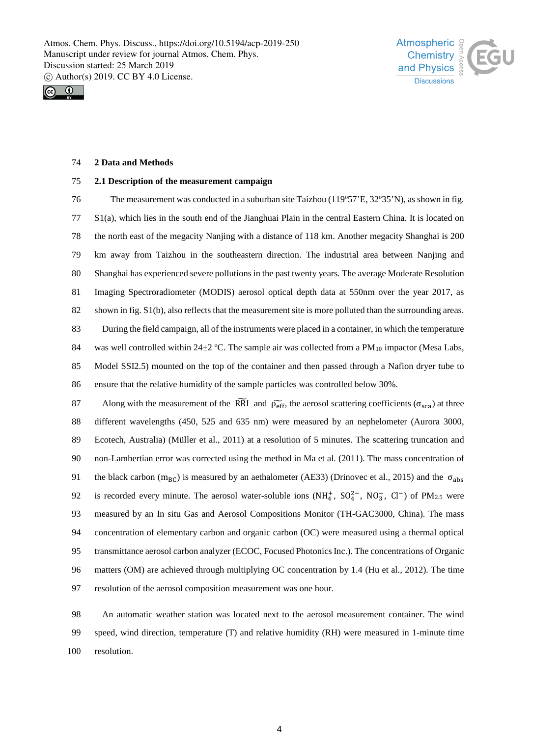



### **2 Data and Methods**

#### **2.1 Description of the measurement campaign**

The measurement was conducted in a suburban site Taizhou (119°57'E, 32°35'N), as shown in fig. S1(a), which lies in the south end of the Jianghuai Plain in the central Eastern China. It is located on the north east of the megacity Nanjing with a distance of 118 km. Another megacity Shanghai is 200 km away from Taizhou in the southeastern direction. The industrial area between Nanjing and Shanghai has experienced severe pollutions in the past twenty years. The average Moderate Resolution Imaging Spectroradiometer (MODIS) aerosol optical depth data at 550nm over the year 2017, as shown in fig. S1(b), also reflects that the measurement site is more polluted than the surrounding areas. During the field campaign, all of the instruments were placed in a container, in which the temperature was well controlled within 24 $\pm$ 2 °C. The sample air was collected from a PM<sub>10</sub> impactor (Mesa Labs, Model SSI2.5) mounted on the top of the container and then passed through a Nafion dryer tube to ensure that the relative humidity of the sample particles was controlled below 30%.

Along with the measurement of the RRI and  $\widetilde{\rho_{\text{eff}}}$ , the aerosol scattering coefficients ( $\sigma_{\text{sca}}$ ) at three different wavelengths (450, 525 and 635 nm) were measured by an nephelometer (Aurora 3000, Ecotech, Australia) (Müller et al., 2011) at a resolution of 5 minutes. The scattering truncation and non-Lambertian error was corrected using the method in Ma et al. (2011). The mass concentration of 91 the black carbon ( $m_{BC}$ ) is measured by an aethalometer (AE33) (Drinovec et al., 2015) and the  $\sigma_{abs}$ 92 is recorded every minute. The aerosol water-soluble ions  $(NH_4^+$ ,  $SO_4^{2-}$ ,  $NO_3^-$ ,  $Cl^-$ ) of PM<sub>2.5</sub> were measured by an In situ Gas and Aerosol Compositions Monitor (TH-GAC3000, China). The mass concentration of elementary carbon and organic carbon (OC) were measured using a thermal optical transmittance aerosol carbon analyzer (ECOC, Focused Photonics Inc.). The concentrations of Organic matters (OM) are achieved through multiplying OC concentration by 1.4 (Hu et al., 2012). The time resolution of the aerosol composition measurement was one hour.

 An automatic weather station was located next to the aerosol measurement container. The wind speed, wind direction, temperature (T) and relative humidity (RH) were measured in 1-minute time resolution.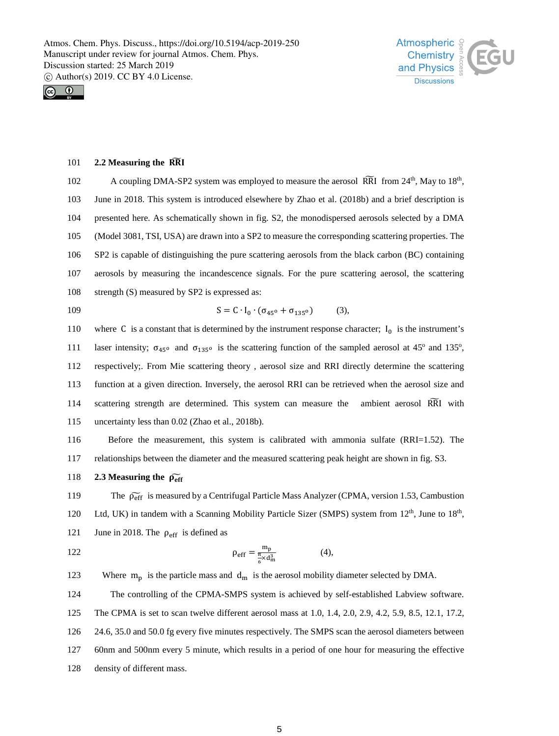



## 101 **2.2 Measuring the RRI**

102 A coupling DMA-SP2 system was employed to measure the aerosol RRI from  $24<sup>th</sup>$ , May to  $18<sup>th</sup>$ , June in 2018. This system is introduced elsewhere by Zhao et al. (2018b) and a brief description is presented here. As schematically shown in fig. S2, the monodispersed aerosols selected by a DMA (Model 3081, TSI, USA) are drawn into a SP2 to measure the corresponding scattering properties. The SP2 is capable of distinguishing the pure scattering aerosols from the black carbon (BC) containing aerosols by measuring the incandescence signals. For the pure scattering aerosol, the scattering 108 strength (S) measured by SP2 is expressed as:

109 
$$
S = C \cdot I_0 \cdot (\sigma_{45^0} + \sigma_{135^0})
$$
 (3),

110 where C is a constant that is determined by the instrument response character;  $I_0$  is the instrument's laser intensity;  $\sigma_{45}$ <sup>o</sup> and  $\sigma_{135}$ <sup>o</sup> is the scattering function of the sampled aerosol at 45<sup>o</sup> and 135<sup>o</sup>, 112 respectively;. From Mie scattering theory , aerosol size and RRI directly determine the scattering 113 function at a given direction. Inversely, the aerosol RRI can be retrieved when the aerosol size and 114 scattering strength are determined. This system can measure the ambient aerosol RRI with 115 uncertainty less than 0.02 (Zhao et al., 2018b).

116 Before the measurement, this system is calibrated with ammonia sulfate (RRI=1.52). The 117 relationships between the diameter and the measured scattering peak height are shown in fig. S3.

118 **2.3 Measuring the**  $\widetilde{\rho_{eff}}$ 

119 The *ρ*<sub>eff</sub> is measured by a Centrifugal Particle Mass Analyzer (CPMA, version 1.53, Cambustion 120 Ltd, UK) in tandem with a Scanning Mobility Particle Sizer (SMPS) system from 12<sup>th</sup>, June to 18<sup>th</sup>, 121 June in 2018. The  $\rho_{\text{eff}}$  is defined as

122  $\rho_{eff} = \frac{m_p}{\frac{\pi}{6} \times d_m^3}$  (4),

123 Where  $m_p$  is the particle mass and  $d_m$  is the aerosol mobility diameter selected by DMA.

 The controlling of the CPMA-SMPS system is achieved by self-established Labview software. The CPMA is set to scan twelve different aerosol mass at 1.0, 1.4, 2.0, 2.9, 4.2, 5.9, 8.5, 12.1, 17.2, 24.6, 35.0 and 50.0 fg every five minutes respectively. The SMPS scan the aerosol diameters between 60nm and 500nm every 5 minute, which results in a period of one hour for measuring the effective density of different mass.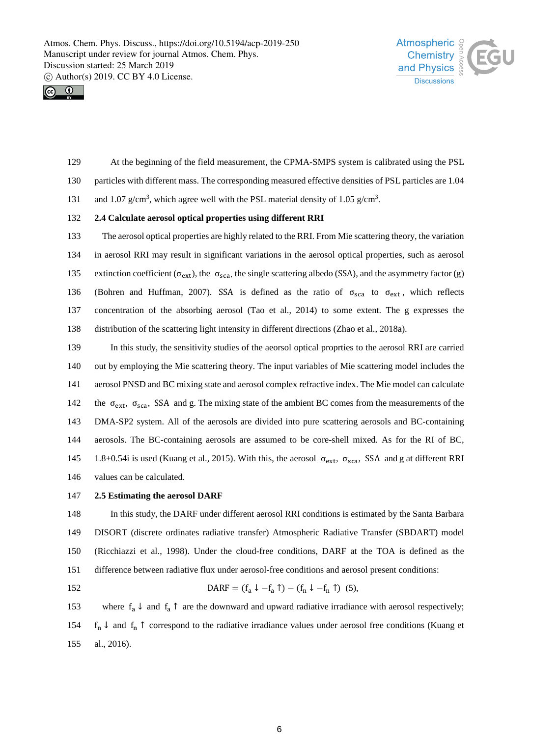



- At the beginning of the field measurement, the CPMA-SMPS system is calibrated using the PSL
- particles with different mass. The corresponding measured effective densities of PSL particles are 1.04
- 131 and 1.07  $g/cm^3$ , which agree well with the PSL material density of 1.05  $g/cm^3$ .

#### **2.4 Calculate aerosol optical properties using different RRI**

 The aerosol optical properties are highly related to the RRI. From Mie scattering theory, the variation in aerosol RRI may result in significant variations in the aerosol optical properties, such as aerosol 135 extinction coefficient ( $\sigma_{ext}$ ), the  $\sigma_{sca}$ , the single scattering albedo (SSA), and the asymmetry factor (g) 136 (Bohren and Huffman, 2007). SSA is defined as the ratio of  $\sigma_{\text{sca}}$  to  $\sigma_{\text{ext}}$ , which reflects concentration of the absorbing aerosol (Tao et al., 2014) to some extent. The g expresses the distribution of the scattering light intensity in different directions (Zhao et al., 2018a).

 In this study, the sensitivity studies of the aeorsol optical proprties to the aerosol RRI are carried out by employing the Mie scattering theory. The input variables of Mie scattering model includes the aerosol PNSD and BC mixing state and aerosol complex refractive index. The Mie model can calculate 142 the  $\sigma_{ext}$ ,  $\sigma_{sca}$ , SSA and g. The mixing state of the ambient BC comes from the measurements of the DMA-SP2 system. All of the aerosols are divided into pure scattering aerosols and BC-containing aerosols. The BC-containing aerosols are assumed to be core-shell mixed. As for the RI of BC, 145 1.8+0.54i is used (Kuang et al., 2015). With this, the aerosol  $\sigma_{ext}$ ,  $\sigma_{scat}$ , SSA and g at different RRI values can be calculated.

### **2.5 Estimating the aerosol DARF**

 In this study, the DARF under different aerosol RRI conditions is estimated by the Santa Barbara DISORT (discrete ordinates radiative transfer) Atmospheric Radiative Transfer (SBDART) model (Ricchiazzi et al., 1998). Under the cloud-free conditions, DARF at the TOA is defined as the difference between radiative flux under aerosol-free conditions and aerosol present conditions:

152 DARF =  $(f_a \downarrow -f_a \uparrow) - (f_n \downarrow -f_n \uparrow)$  (5),

153 where  $f_a \downarrow$  and  $f_a \uparrow$  are the downward and upward radiative irradiance with aerosol respectively; 154 f<sub>n</sub> ↓ and f<sub>n</sub> ↑ correspond to the radiative irradiance values under aerosol free conditions (Kuang et al., 2016).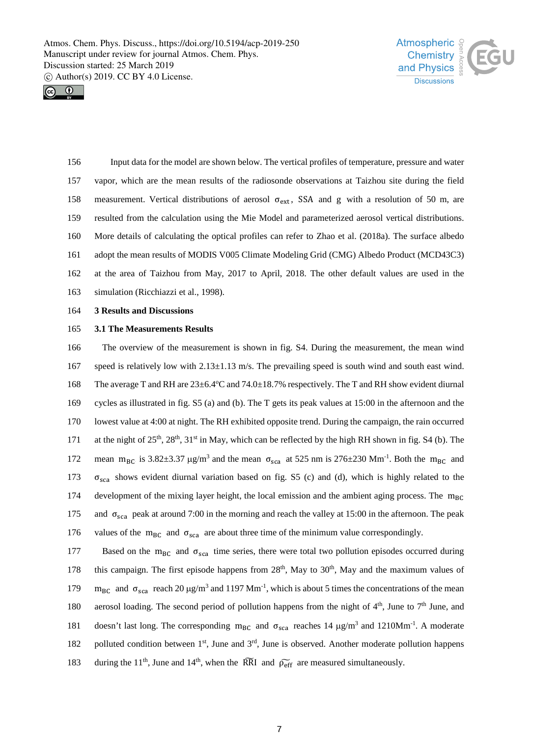



 Input data for the model are shown below. The vertical profiles of temperature, pressure and water vapor, which are the mean results of the radiosonde observations at Taizhou site during the field 158 measurement. Vertical distributions of aerosol  $\sigma_{ext}$ , SSA and g with a resolution of 50 m, are resulted from the calculation using the Mie Model and parameterized aerosol vertical distributions. More details of calculating the optical profiles can refer to Zhao et al. (2018a). The surface albedo adopt the mean results of MODIS V005 Climate Modeling Grid (CMG) Albedo Product (MCD43C3) at the area of Taizhou from May, 2017 to April, 2018. The other default values are used in the simulation (Ricchiazzi et al., 1998).

164 **3 Results and Discussions**

# 165 **3.1 The Measurements Results**

166 The overview of the measurement is shown in fig. S4. During the measurement, the mean wind 167 speed is relatively low with 2.13±1.13 m/s. The prevailing speed is south wind and south east wind. 168 The average T and RH are  $23\pm 6.4^{\circ}$ C and 74.0 $\pm$ 18.7% respectively. The T and RH show evident diurnal 169 cycles as illustrated in fig. S5 (a) and (b). The T gets its peak values at 15:00 in the afternoon and the 170 lowest value at 4:00 at night. The RH exhibited opposite trend. During the campaign, the rain occurred 171 at the night of 25<sup>th</sup>, 28<sup>th</sup>, 31<sup>st</sup> in May, which can be reflected by the high RH shown in fig. S4 (b). The 172 mean m<sub>BC</sub> is 3.82 $\pm$ 3.37  $\mu$ g/m<sup>3</sup> and the mean  $\sigma_{sca}$  at 525 nm is 276 $\pm$ 230 Mm<sup>-1</sup>. Both the m<sub>BC</sub> and 173  $\sigma_{\text{sca}}$  shows evident diurnal variation based on fig. S5 (c) and (d), which is highly related to the 174 development of the mixing layer height, the local emission and the ambient aging process. The m<sub>BC</sub> 175 and  $\sigma_{\text{sca}}$  peak at around 7:00 in the morning and reach the valley at 15:00 in the afternoon. The peak 176 values of the m<sub>BC</sub> and  $\sigma_{sca}$  are about three time of the minimum value correspondingly.

Based on the  $m_{BC}$  and  $\sigma_{sca}$  time series, there were total two pollution episodes occurred during 178 this campaign. The first episode happens from  $28<sup>th</sup>$ , May to  $30<sup>th</sup>$ , May and the maximum values of 179 m<sub>BC</sub> and σ<sub>sca</sub> reach 20  $\mu$ g/m<sup>3</sup> and 1197 Mm<sup>-1</sup>, which is about 5 times the concentrations of the mean 180 aerosol loading. The second period of pollution happens from the night of 4<sup>th</sup>, June to 7<sup>th</sup> June, and 181 doesn't last long. The corresponding m<sub>BC</sub> and  $\sigma_{sca}$  reaches 14 μg/m<sup>3</sup> and 1210Mm<sup>-1</sup>. A moderate 182 polluted condition between 1<sup>st</sup>, June and 3<sup>rd</sup>, June is observed. Another moderate pollution happens 183 during the 11<sup>th</sup>, June and 14<sup>th</sup>, when the RRI and  $\widetilde{p_{\text{eff}}}$  are measured simultaneously.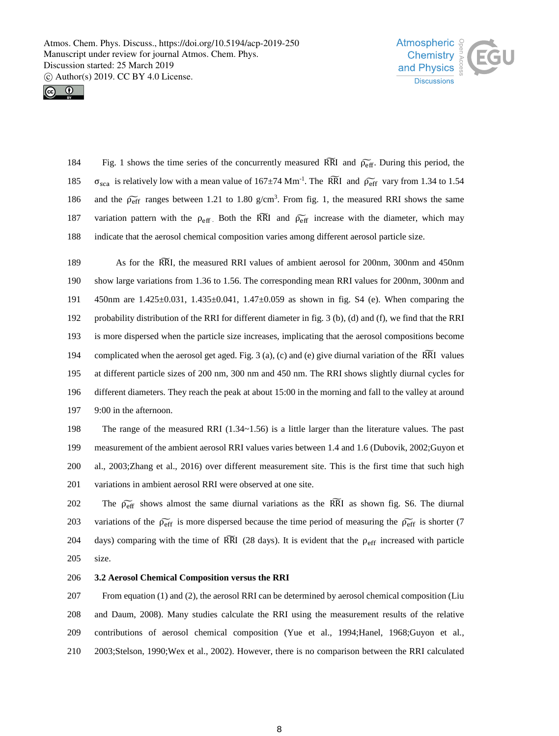



184 Fig. 1 shows the time series of the concurrently measured RRI and  $\tilde{p_{eff}}$ . During this period, the 185  $\sigma_{\text{sca}}$  is relatively low with a mean value of 167±74 Mm<sup>-1</sup>. The RRI and  $\widetilde{\rho_{\text{eff}}}$  vary from 1.34 to 1.54 186 and the  $\widetilde{\rho_{\text{eff}}}$  ranges between 1.21 to 1.80 g/cm<sup>3</sup>. From fig. 1, the measured RRI shows the same 187 variation pattern with the  $\rho_{\text{eff}}$ . Both the RRI and  $\rho_{\text{eff}}$  increase with the diameter, which may 188 indicate that the aerosol chemical composition varies among different aerosol particle size.

189 As for the RRI, the measured RRI values of ambient aerosol for 200nm, 300nm and 450nm show large variations from 1.36 to 1.56. The corresponding mean RRI values for 200nm, 300nm and 450nm are 1.425±0.031, 1.435±0.041, 1.47±0.059 as shown in fig. S4 (e). When comparing the probability distribution of the RRI for different diameter in fig. 3 (b), (d) and (f), we find that the RRI is more dispersed when the particle size increases, implicating that the aerosol compositions become 194 complicated when the aerosol get aged. Fig. 3 (a), (c) and (e) give diurnal variation of the RRI values at different particle sizes of 200 nm, 300 nm and 450 nm. The RRI shows slightly diurnal cycles for different diameters. They reach the peak at about 15:00 in the morning and fall to the valley at around 9:00 in the afternoon.

 The range of the measured RRI (1.34~1.56) is a little larger than the literature values. The past measurement of the ambient aerosol RRI values varies between 1.4 and 1.6 (Dubovik, 2002;Guyon et al., 2003;Zhang et al., 2016) over different measurement site. This is the first time that such high variations in ambient aerosol RRI were observed at one site.

202 The  $\tilde{p}_{\text{eff}}$  shows almost the same diurnal variations as the RRI as shown fig. S6. The diurnal 203 variations of the  $\widetilde{\rho_{\text{eff}}}$  is more dispersed because the time period of measuring the  $\widetilde{\rho_{\text{eff}}}$  is shorter (7 204 days) comparing with the time of RRI (28 days). It is evident that the  $\rho_{\text{eff}}$  increased with particle 205 size.

# 206 **3.2 Aerosol Chemical Composition versus the RRI**

 From equation (1) and (2), the aerosol RRI can be determined by aerosol chemical composition (Liu and Daum, 2008). Many studies calculate the RRI using the measurement results of the relative contributions of aerosol chemical composition (Yue et al., 1994;Hanel, 1968;Guyon et al., 2003;Stelson, 1990;Wex et al., 2002). However, there is no comparison between the RRI calculated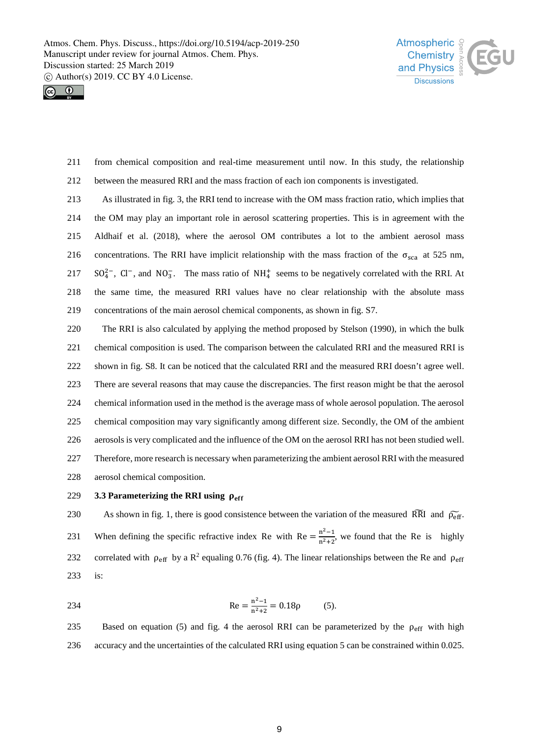



- from chemical composition and real-time measurement until now. In this study, the relationship
- between the measured RRI and the mass fraction of each ion components is investigated.
- As illustrated in fig. 3, the RRI tend to increase with the OM mass fraction ratio, which implies that the OM may play an important role in aerosol scattering properties. This is in agreement with the Aldhaif et al. (2018), where the aerosol OM contributes a lot to the ambient aerosol mass 216 concentrations. The RRI have implicit relationship with the mass fraction of the  $\sigma_{\text{sca}}$  at 525 nm, 217 SO<sup>2</sup><sup>-</sup>, Cl<sup>−</sup>, and NO<sub>3</sub>. The mass ratio of NH<sup>+</sup><sub>4</sub> seems to be negatively correlated with the RRI. At the same time, the measured RRI values have no clear relationship with the absolute mass concentrations of the main aerosol chemical components, as shown in fig. S7.
- The RRI is also calculated by applying the method proposed by Stelson (1990), in which the bulk chemical composition is used. The comparison between the calculated RRI and the measured RRI is shown in fig. S8. It can be noticed that the calculated RRI and the measured RRI doesn't agree well. There are several reasons that may cause the discrepancies. The first reason might be that the aerosol chemical information used in the method is the average mass of whole aerosol population. The aerosol chemical composition may vary significantly among different size. Secondly, the OM of the ambient aerosols is very complicated and the influence of the OM on the aerosol RRI has not been studied well. Therefore, more research is necessary when parameterizing the ambient aerosol RRI with the measured aerosol chemical composition.
- **3.3 Parameterizing the RRI using**

230 As shown in fig. 1, there is good consistence between the variation of the measured RRI and  $\rho_{\text{eff}}$ . 231 When defining the specific refractive index Re with Re  $=\frac{n^2-1}{n^2+2}$ , we found that the Re is highly 232 correlated with  $\rho_{\text{eff}}$  by a R<sup>2</sup> equaling 0.76 (fig. 4). The linear relationships between the Re and  $\rho_{\text{eff}}$ is:

$$
Re = \frac{n^2 - 1}{n^2 + 2} = 0.18p
$$
 (5).

235 Based on equation (5) and fig. 4 the aerosol RRI can be parameterized by the  $\rho_{\text{eff}}$  with high accuracy and the uncertainties of the calculated RRI using equation 5 can be constrained within 0.025.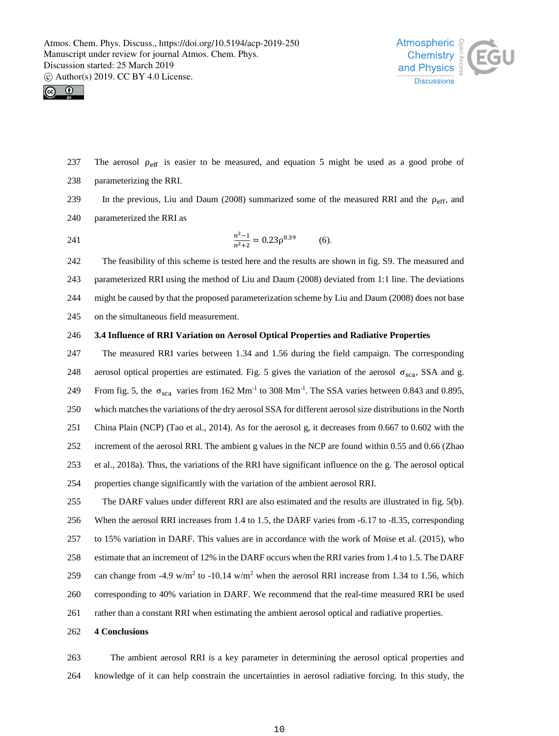



237 The aerosol  $\rho_{\text{eff}}$  is easier to be measured, and equation 5 might be used as a good probe of parameterizing the RRI.

239 In the previous, Liu and Daum (2008) summarized some of the measured RRI and the  $\rho_{\text{eff}}$ , and parameterized the RRI as

241  $\frac{n^2-1}{n^2+2} = 0.23\rho^{0.39}$  (6).

 The feasibility of this scheme is tested here and the results are shown in fig. S9. The measured and parameterized RRI using the method of Liu and Daum (2008) deviated from 1:1 line. The deviations might be caused by that the proposed parameterization scheme by Liu and Daum (2008) does not base on the simultaneous field measurement.

# **3.4 Influence of RRI Variation on Aerosol Optical Properties and Radiative Properties**

 The measured RRI varies between 1.34 and 1.56 during the field campaign. The corresponding 248 aerosol optical properties are estimated. Fig. 5 gives the variation of the aerosol  $\sigma_{sca}$ , SSA and g. 249 From fig. 5, the  $\sigma_{sca}$  varies from 162 Mm<sup>-1</sup> to 308 Mm<sup>-1</sup>. The SSA varies between 0.843 and 0.895, which matches the variations of the dry aerosol SSA for different aerosol size distributions in the North China Plain (NCP) (Tao et al., 2014). As for the aerosol g, it decreases from 0.667 to 0.602 with the increment of the aerosol RRI. The ambient g values in the NCP are found within 0.55 and 0.66 (Zhao et al., 2018a). Thus, the variations of the RRI have significant influence on the g. The aerosol optical properties change significantly with the variation of the ambient aerosol RRI. The DARF values under different RRI are also estimated and the results are illustrated in fig. 5(b).

When the aerosol RRI increases from 1.4 to 1.5, the DARF varies from -6.17 to -8.35, corresponding

to 15% variation in DARF. This values are in accordance with the work of Moise et al. (2015), who

- estimate that an increment of 12% in the DARF occurs when the RRI varies from 1.4 to 1.5. The DARF
- 259 can change from -4.9 w/m<sup>2</sup> to -10.14 w/m<sup>2</sup> when the aerosol RRI increase from 1.34 to 1.56, which
- corresponding to 40% variation in DARF. We recommend that the real-time measured RRI be used
- rather than a constant RRI when estimating the ambient aerosol optical and radiative properties.
- **4 Conclusions**

 The ambient aerosol RRI is a key parameter in determining the aerosol optical properties and knowledge of it can help constrain the uncertainties in aerosol radiative forcing. In this study, the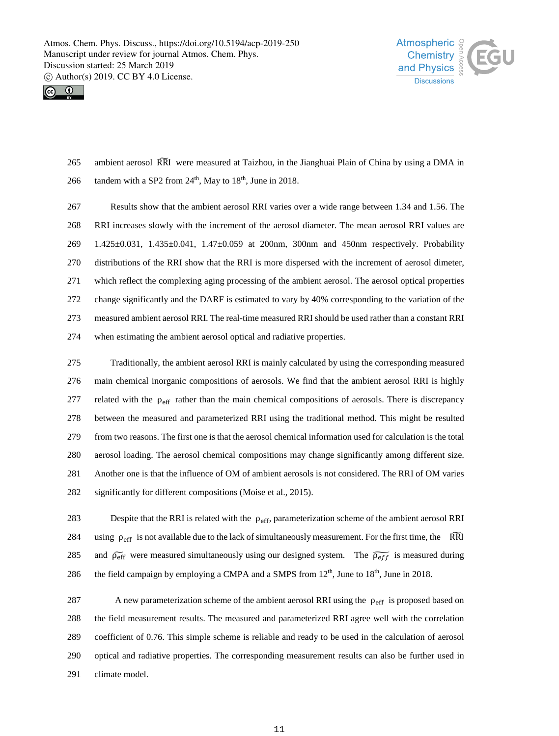



265 ambient aerosol RRI were measured at Taizhou, in the Jianghuai Plain of China by using a DMA in 266 tandem with a SP2 from  $24<sup>th</sup>$ , May to  $18<sup>th</sup>$ , June in 2018.

 Results show that the ambient aerosol RRI varies over a wide range between 1.34 and 1.56. The RRI increases slowly with the increment of the aerosol diameter. The mean aerosol RRI values are 1.425±0.031, 1.435±0.041, 1.47±0.059 at 200nm, 300nm and 450nm respectively. Probability distributions of the RRI show that the RRI is more dispersed with the increment of aerosol dimeter, which reflect the complexing aging processing of the ambient aerosol. The aerosol optical properties change significantly and the DARF is estimated to vary by 40% corresponding to the variation of the measured ambient aerosol RRI. The real-time measured RRI should be used rather than a constant RRI when estimating the ambient aerosol optical and radiative properties.

 Traditionally, the ambient aerosol RRI is mainly calculated by using the corresponding measured main chemical inorganic compositions of aerosols. We find that the ambient aerosol RRI is highly 277 related with the  $\rho_{\text{eff}}$  rather than the main chemical compositions of aerosols. There is discrepancy between the measured and parameterized RRI using the traditional method. This might be resulted from two reasons. The first one is that the aerosol chemical information used for calculation is the total aerosol loading. The aerosol chemical compositions may change significantly among different size. Another one is that the influence of OM of ambient aerosols is not considered. The RRI of OM varies significantly for different compositions (Moise et al., 2015).

283 Despite that the RRI is related with the  $\rho_{\text{eff}}$ , parameterization scheme of the ambient aerosol RRI 284 using  $\rho_{\text{eff}}$  is not available due to the lack of simultaneously measurement. For the first time, the RRI 285 and  $\tilde{\rho}_{eff}$  were measured simultaneously using our designed system. The  $\tilde{\rho}_{eff}$  is measured during 286 the field campaign by employing a CMPA and a SMPS from  $12<sup>th</sup>$ , June to  $18<sup>th</sup>$ , June in 2018.

287 A new parameterization scheme of the ambient aerosol RRI using the  $\rho_{\text{eff}}$  is proposed based on the field measurement results. The measured and parameterized RRI agree well with the correlation coefficient of 0.76. This simple scheme is reliable and ready to be used in the calculation of aerosol optical and radiative properties. The corresponding measurement results can also be further used in climate model.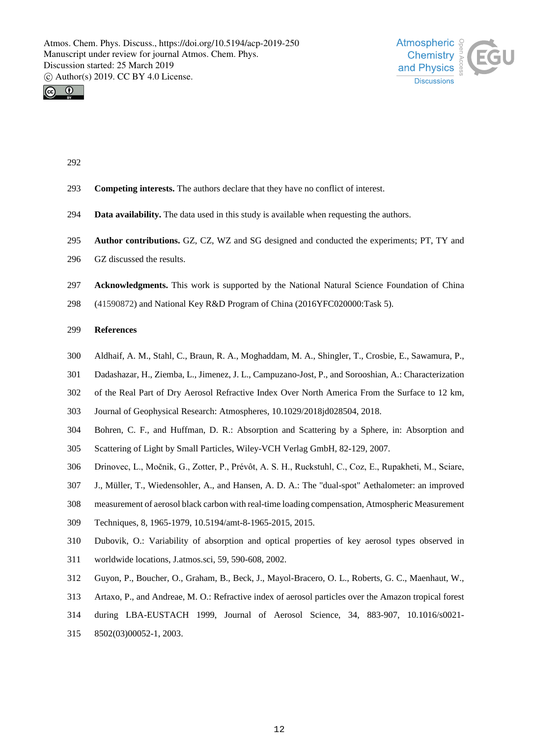



- 
- **Competing interests.** The authors declare that they have no conflict of interest.
- **Data availability.** The data used in this study is available when requesting the authors.
- **Author contributions.** GZ, CZ, WZ and SG designed and conducted the experiments; PT, TY and
- GZ discussed the results.
- **Acknowledgments.** This work is supported by the National Natural Science Foundation of China
- (41590872) and National Key R&D Program of China (2016YFC020000:Task 5).

# **References**

- Aldhaif, A. M., Stahl, C., Braun, R. A., Moghaddam, M. A., Shingler, T., Crosbie, E., Sawamura, P.,
- Dadashazar, H., Ziemba, L., Jimenez, J. L., Campuzano-Jost, P., and Sorooshian, A.: Characterization
- of the Real Part of Dry Aerosol Refractive Index Over North America From the Surface to 12 km,
- Journal of Geophysical Research: Atmospheres, 10.1029/2018jd028504, 2018.
- Bohren, C. F., and Huffman, D. R.: Absorption and Scattering by a Sphere, in: Absorption and
- Scattering of Light by Small Particles, Wiley-VCH Verlag GmbH, 82-129, 2007.
- Drinovec, L., Močnik, G., Zotter, P., Prévôt, A. S. H., Ruckstuhl, C., Coz, E., Rupakheti, M., Sciare,
- J., Müller, T., Wiedensohler, A., and Hansen, A. D. A.: The "dual-spot" Aethalometer: an improved
- measurement of aerosol black carbon with real-time loading compensation, Atmospheric Measurement
- Techniques, 8, 1965-1979, 10.5194/amt-8-1965-2015, 2015.
- Dubovik, O.: Variability of absorption and optical properties of key aerosol types observed in
- worldwide locations, J.atmos.sci, 59, 590-608, 2002.
- Guyon, P., Boucher, O., Graham, B., Beck, J., Mayol-Bracero, O. L., Roberts, G. C., Maenhaut, W.,
- Artaxo, P., and Andreae, M. O.: Refractive index of aerosol particles over the Amazon tropical forest
- during LBA-EUSTACH 1999, Journal of Aerosol Science, 34, 883-907, 10.1016/s0021-
- 8502(03)00052-1, 2003.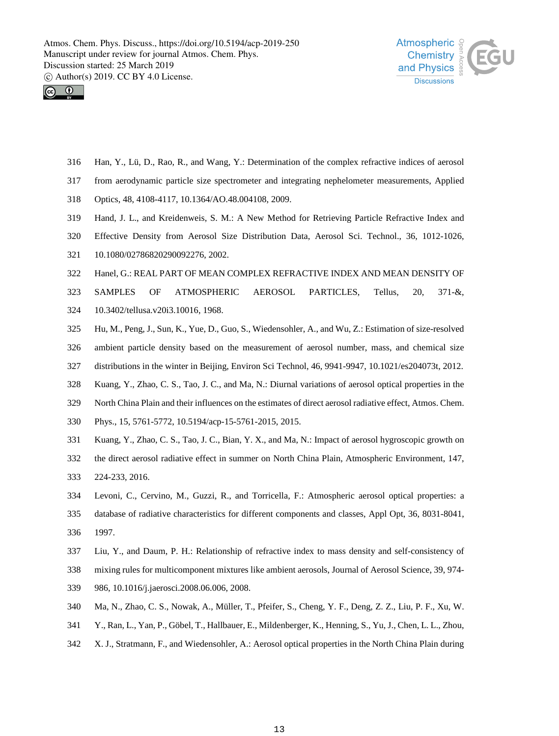



- Han, Y., Lü, D., Rao, R., and Wang, Y.: Determination of the complex refractive indices of aerosol
- from aerodynamic particle size spectrometer and integrating nephelometer measurements, Applied
- Optics, 48, 4108-4117, 10.1364/AO.48.004108, 2009.
- Hand, J. L., and Kreidenweis, S. M.: A New Method for Retrieving Particle Refractive Index and
- Effective Density from Aerosol Size Distribution Data, Aerosol Sci. Technol., 36, 1012-1026,
- 10.1080/02786820290092276, 2002.
- Hanel, G.: REAL PART OF MEAN COMPLEX REFRACTIVE INDEX AND MEAN DENSITY OF
- SAMPLES OF ATMOSPHERIC AEROSOL PARTICLES, Tellus, 20, 371-&,
- 10.3402/tellusa.v20i3.10016, 1968.
- Hu, M., Peng, J., Sun, K., Yue, D., Guo, S., Wiedensohler, A., and Wu, Z.: Estimation of size-resolved
- ambient particle density based on the measurement of aerosol number, mass, and chemical size
- distributions in the winter in Beijing, Environ Sci Technol, 46, 9941-9947, 10.1021/es204073t, 2012.
- Kuang, Y., Zhao, C. S., Tao, J. C., and Ma, N.: Diurnal variations of aerosol optical properties in the
- North China Plain and their influences on the estimates of direct aerosol radiative effect, Atmos. Chem.
- Phys., 15, 5761-5772, 10.5194/acp-15-5761-2015, 2015.
- Kuang, Y., Zhao, C. S., Tao, J. C., Bian, Y. X., and Ma, N.: Impact of aerosol hygroscopic growth on
- the direct aerosol radiative effect in summer on North China Plain, Atmospheric Environment, 147,
- 224-233, 2016.
- Levoni, C., Cervino, M., Guzzi, R., and Torricella, F.: Atmospheric aerosol optical properties: a
- database of radiative characteristics for different components and classes, Appl Opt, 36, 8031-8041, 1997.
- Liu, Y., and Daum, P. H.: Relationship of refractive index to mass density and self-consistency of
- mixing rules for multicomponent mixtures like ambient aerosols, Journal of Aerosol Science, 39, 974-
- 986, 10.1016/j.jaerosci.2008.06.006, 2008.
- Ma, N., Zhao, C. S., Nowak, A., Müller, T., Pfeifer, S., Cheng, Y. F., Deng, Z. Z., Liu, P. F., Xu, W.
- Y., Ran, L., Yan, P., Göbel, T., Hallbauer, E., Mildenberger, K., Henning, S., Yu, J., Chen, L. L., Zhou,
- X. J., Stratmann, F., and Wiedensohler, A.: Aerosol optical properties in the North China Plain during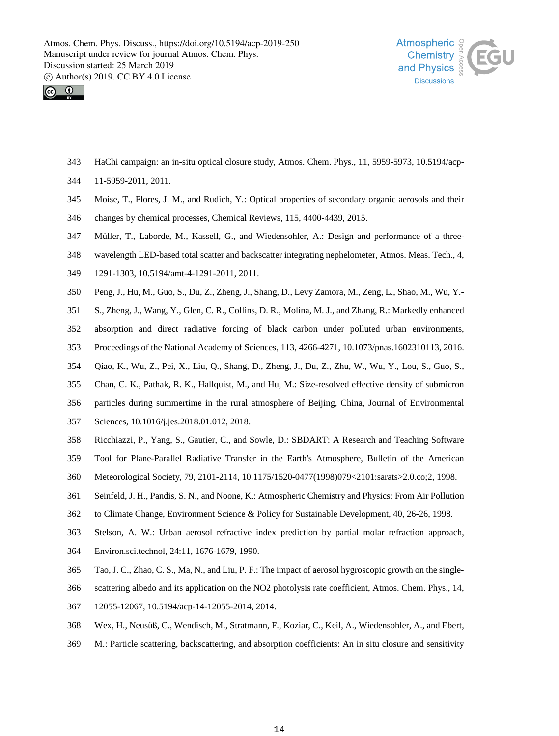



- HaChi campaign: an in-situ optical closure study, Atmos. Chem. Phys., 11, 5959-5973, 10.5194/acp-
- 11-5959-2011, 2011.
- Moise, T., Flores, J. M., and Rudich, Y.: Optical properties of secondary organic aerosols and their
- changes by chemical processes, Chemical Reviews, 115, 4400-4439, 2015.
- Müller, T., Laborde, M., Kassell, G., and Wiedensohler, A.: Design and performance of a three-
- wavelength LED-based total scatter and backscatter integrating nephelometer, Atmos. Meas. Tech., 4,
- 1291-1303, 10.5194/amt-4-1291-2011, 2011.
- Peng, J., Hu, M., Guo, S., Du, Z., Zheng, J., Shang, D., Levy Zamora, M., Zeng, L., Shao, M., Wu, Y.-
- S., Zheng, J., Wang, Y., Glen, C. R., Collins, D. R., Molina, M. J., and Zhang, R.: Markedly enhanced
- absorption and direct radiative forcing of black carbon under polluted urban environments,
- Proceedings of the National Academy of Sciences, 113, 4266-4271, 10.1073/pnas.1602310113, 2016.
- Qiao, K., Wu, Z., Pei, X., Liu, Q., Shang, D., Zheng, J., Du, Z., Zhu, W., Wu, Y., Lou, S., Guo, S.,
- Chan, C. K., Pathak, R. K., Hallquist, M., and Hu, M.: Size-resolved effective density of submicron
- particles during summertime in the rural atmosphere of Beijing, China, Journal of Environmental
- Sciences, 10.1016/j.jes.2018.01.012, 2018.
- Ricchiazzi, P., Yang, S., Gautier, C., and Sowle, D.: SBDART: A Research and Teaching Software
- Tool for Plane-Parallel Radiative Transfer in the Earth's Atmosphere, Bulletin of the American
- Meteorological Society, 79, 2101-2114, 10.1175/1520-0477(1998)079<2101:sarats>2.0.co;2, 1998.
- Seinfeld, J. H., Pandis, S. N., and Noone, K.: Atmospheric Chemistry and Physics: From Air Pollution
- to Climate Change, Environment Science & Policy for Sustainable Development, 40, 26-26, 1998.
- Stelson, A. W.: Urban aerosol refractive index prediction by partial molar refraction approach,
- Environ.sci.technol, 24:11, 1676-1679, 1990.
- Tao, J. C., Zhao, C. S., Ma, N., and Liu, P. F.: The impact of aerosol hygroscopic growth on the single-
- scattering albedo and its application on the NO2 photolysis rate coefficient, Atmos. Chem. Phys., 14,
- 12055-12067, 10.5194/acp-14-12055-2014, 2014.
- Wex, H., Neusüß, C., Wendisch, M., Stratmann, F., Koziar, C., Keil, A., Wiedensohler, A., and Ebert,
- M.: Particle scattering, backscattering, and absorption coefficients: An in situ closure and sensitivity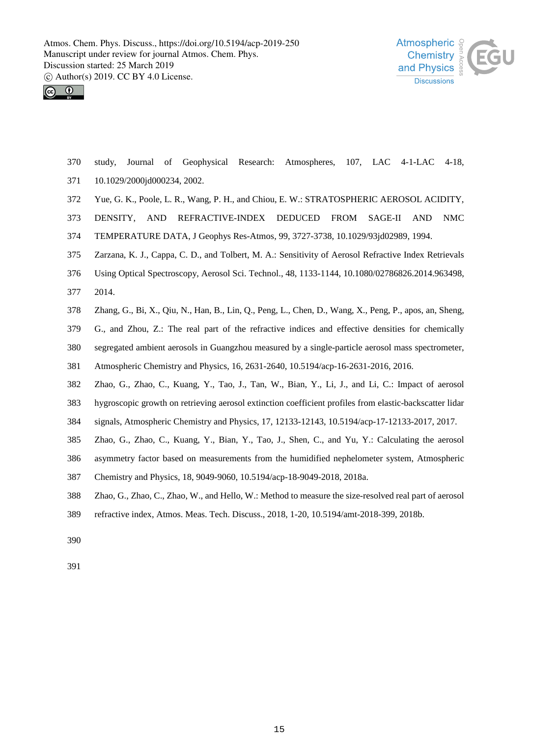



- study, Journal of Geophysical Research: Atmospheres, 107, LAC 4-1-LAC 4-18,
- 10.1029/2000jd000234, 2002.
- Yue, G. K., Poole, L. R., Wang, P. H., and Chiou, E. W.: STRATOSPHERIC AEROSOL ACIDITY,
- DENSITY, AND REFRACTIVE-INDEX DEDUCED FROM SAGE-II AND NMC
- TEMPERATURE DATA, J Geophys Res-Atmos, 99, 3727-3738, 10.1029/93jd02989, 1994.
- Zarzana, K. J., Cappa, C. D., and Tolbert, M. A.: Sensitivity of Aerosol Refractive Index Retrievals
- Using Optical Spectroscopy, Aerosol Sci. Technol., 48, 1133-1144, 10.1080/02786826.2014.963498,
- 2014.
- Zhang, G., Bi, X., Qiu, N., Han, B., Lin, Q., Peng, L., Chen, D., Wang, X., Peng, P., apos, an, Sheng,
- G., and Zhou, Z.: The real part of the refractive indices and effective densities for chemically
- segregated ambient aerosols in Guangzhou measured by a single-particle aerosol mass spectrometer,
- Atmospheric Chemistry and Physics, 16, 2631-2640, 10.5194/acp-16-2631-2016, 2016.
- Zhao, G., Zhao, C., Kuang, Y., Tao, J., Tan, W., Bian, Y., Li, J., and Li, C.: Impact of aerosol
- hygroscopic growth on retrieving aerosol extinction coefficient profiles from elastic-backscatter lidar
- signals, Atmospheric Chemistry and Physics, 17, 12133-12143, 10.5194/acp-17-12133-2017, 2017.
- Zhao, G., Zhao, C., Kuang, Y., Bian, Y., Tao, J., Shen, C., and Yu, Y.: Calculating the aerosol
- asymmetry factor based on measurements from the humidified nephelometer system, Atmospheric
- Chemistry and Physics, 18, 9049-9060, 10.5194/acp-18-9049-2018, 2018a.
- Zhao, G., Zhao, C., Zhao, W., and Hello, W.: Method to measure the size-resolved real part of aerosol
- refractive index, Atmos. Meas. Tech. Discuss., 2018, 1-20, 10.5194/amt-2018-399, 2018b.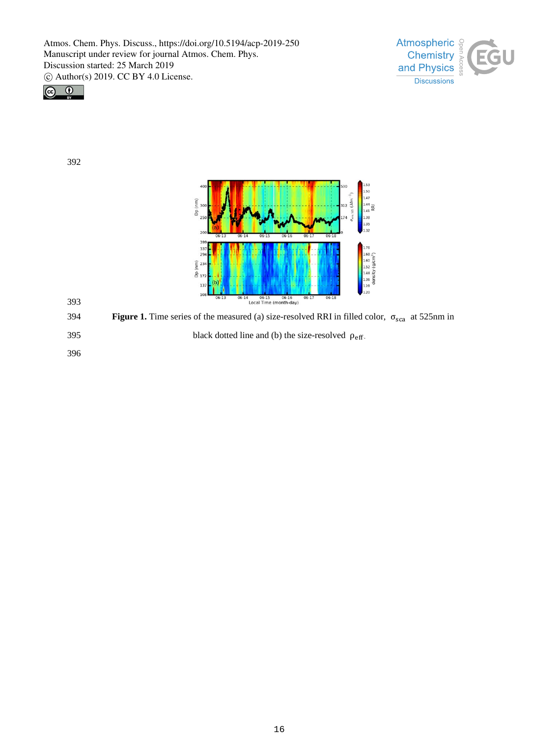



392



393

**S94 Figure 1.** Time series of the measured (a) size-resolved RRI in filled color, σ<sub>sca</sub> at 525nm in black dotted line and (b) the size-resolved  $ρ<sub>eff</sub>$ .<br>396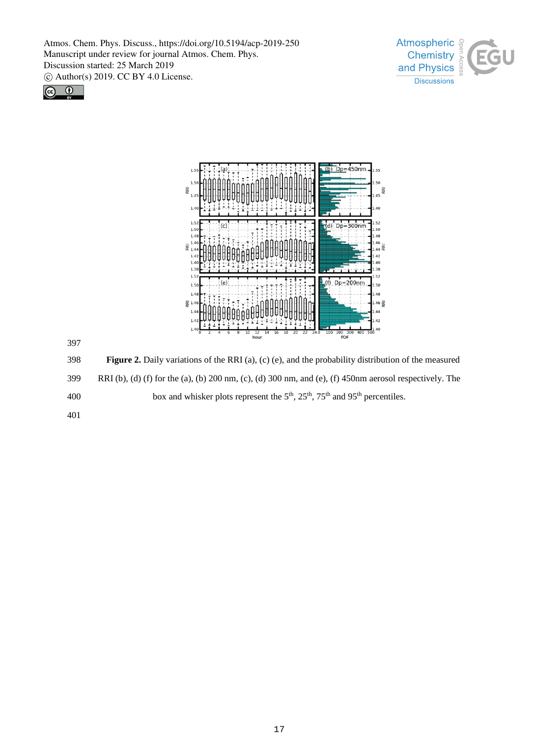





397

398 **Figure 2.** Daily variations of the RRI (a), (c) (e), and the probability distribution of the measured 399 RRI (b), (d) (f) for the (a), (b) 200 nm, (c), (d) 300 nm, and (e), (f) 450nm aerosol respectively. The 400 box and whisker plots represent the  $5<sup>th</sup>$ ,  $25<sup>th</sup>$ ,  $75<sup>th</sup>$  and  $95<sup>th</sup>$  percentiles.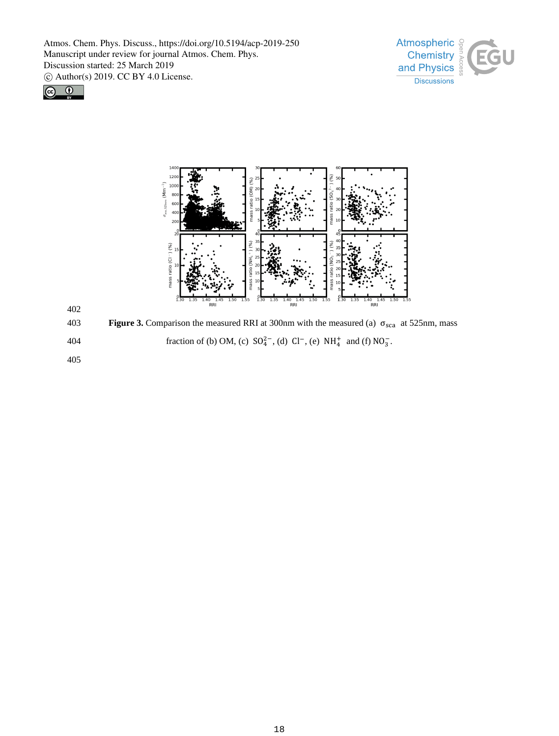







403 **Figure 3.** Comparison the measured RRI at 300nm with the measured (a) σsca at 525nm, mass 404 fraction of (b) OM, (c)  $SO_4^{2-}$ , (d)  $Cl^-$ , (e)  $NH_4^+$  and (f)  $NO_3^-$ .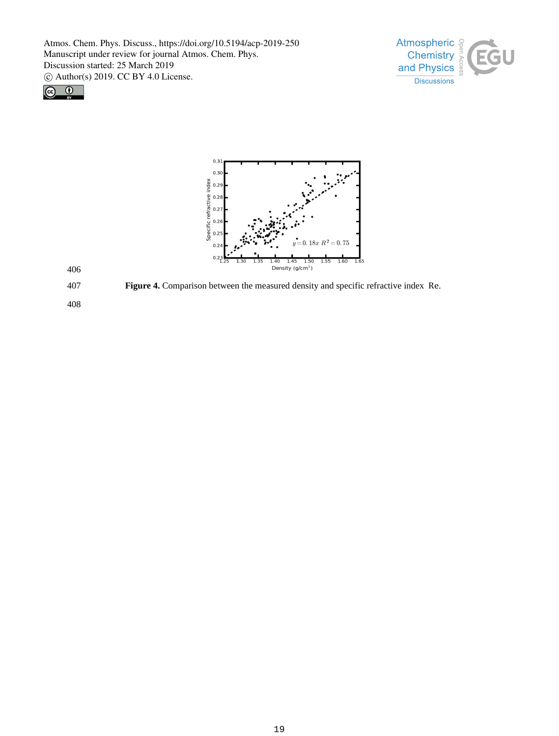





406

407 **Figure 4.** Comparison between the measured density and specific refractive index Re.